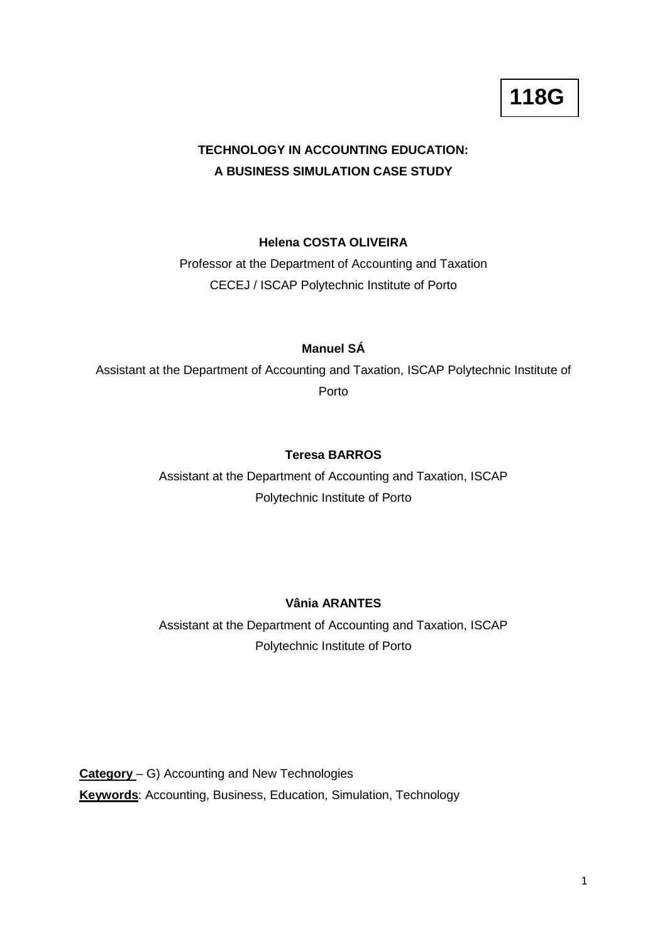# **TECHNOLOGY IN ACCOUNTING EDUCATION: A BUSINESS SIMULATION CASE STUDY**

## **Helena COSTA OLIVEIRA**

Professor at the Department of Accounting and Taxation CECEJ / ISCAP Polytechnic Institute of Porto

## **Manuel SÁ**

Assistant at the Department of Accounting and Taxation, ISCAP Polytechnic Institute of Porto

## **Teresa BARROS**

Assistant at the Department of Accounting and Taxation, ISCAP Polytechnic Institute of Porto

## **Vânia ARANTES**

Assistant at the Department of Accounting and Taxation, ISCAP Polytechnic Institute of Porto

**Category** – G) Accounting and New Technologies **Keywords**: Accounting, Business, Education, Simulation, Technology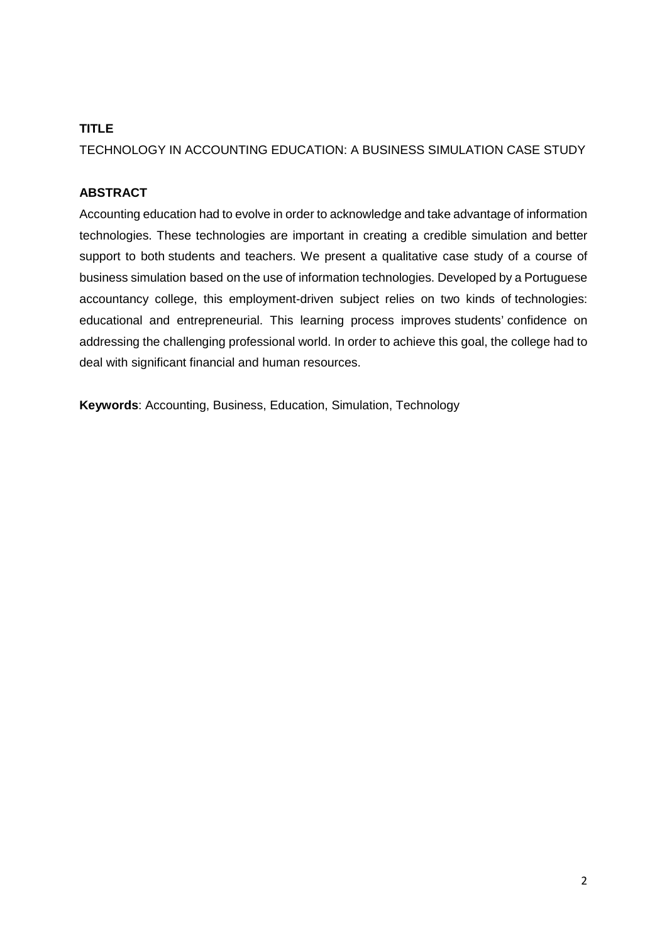# **TITLE**

TECHNOLOGY IN ACCOUNTING EDUCATION: A BUSINESS SIMULATION CASE STUDY

# **ABSTRACT**

Accounting education had to evolve in order to acknowledge and take advantage of information technologies. These technologies are important in creating a credible simulation and better support to both students and teachers. We present a qualitative case study of a course of business simulation based on the use of information technologies. Developed by a Portuguese accountancy college, this employment-driven subject relies on two kinds of technologies: educational and entrepreneurial. This learning process improves students' confidence on addressing the challenging professional world. In order to achieve this goal, the college had to deal with significant financial and human resources.

**Keywords**: Accounting, Business, Education, Simulation, Technology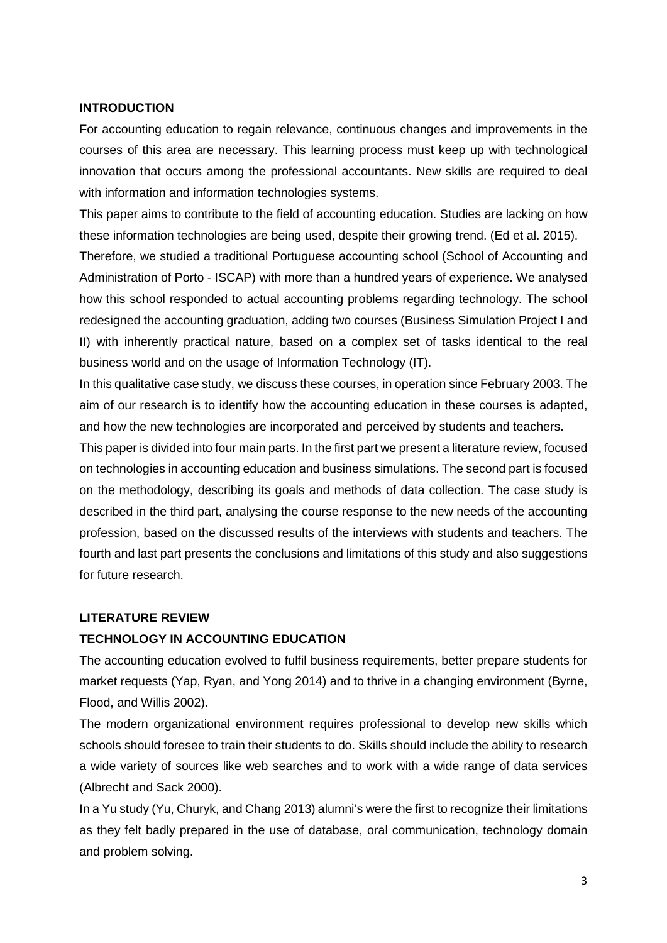### **INTRODUCTION**

For accounting education to regain relevance, continuous changes and improvements in the courses of this area are necessary. This learning process must keep up with technological innovation that occurs among the professional accountants. New skills are required to deal with information and information technologies systems.

This paper aims to contribute to the field of accounting education. Studies are lacking on how these information technologies are being used, despite their growing trend. (Ed et al. 2015).

Therefore, we studied a traditional Portuguese accounting school (School of Accounting and Administration of Porto - ISCAP) with more than a hundred years of experience. We analysed how this school responded to actual accounting problems regarding technology. The school redesigned the accounting graduation, adding two courses (Business Simulation Project I and II) with inherently practical nature, based on a complex set of tasks identical to the real business world and on the usage of Information Technology (IT).

In this qualitative case study, we discuss these courses, in operation since February 2003. The aim of our research is to identify how the accounting education in these courses is adapted, and how the new technologies are incorporated and perceived by students and teachers.

This paper is divided into four main parts. In the first part we present a literature review, focused on technologies in accounting education and business simulations. The second part is focused on the methodology, describing its goals and methods of data collection. The case study is described in the third part, analysing the course response to the new needs of the accounting profession, based on the discussed results of the interviews with students and teachers. The fourth and last part presents the conclusions and limitations of this study and also suggestions for future research.

## **LITERATURE REVIEW**

## **TECHNOLOGY IN ACCOUNTING EDUCATION**

The accounting education evolved to fulfil business requirements, better prepare students for market requests (Yap, Ryan, and Yong 2014) and to thrive in a changing environment (Byrne, Flood, and Willis 2002).

The modern organizational environment requires professional to develop new skills which schools should foresee to train their students to do. Skills should include the ability to research a wide variety of sources like web searches and to work with a wide range of data services (Albrecht and Sack 2000).

In a Yu study (Yu, Churyk, and Chang 2013) alumni's were the first to recognize their limitations as they felt badly prepared in the use of database, oral communication, technology domain and problem solving.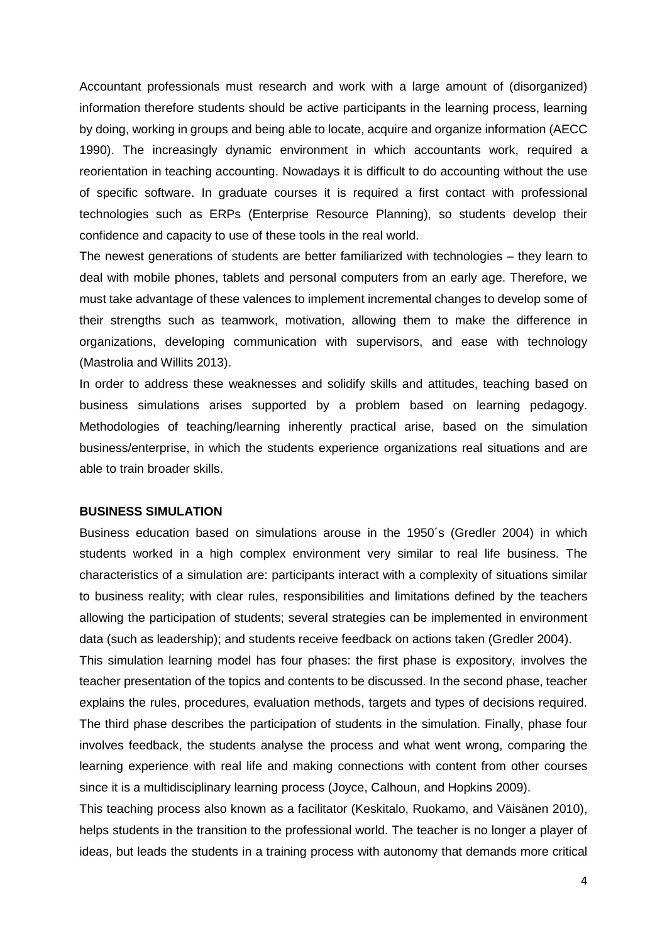Accountant professionals must research and work with a large amount of (disorganized) information therefore students should be active participants in the learning process, learning by doing, working in groups and being able to locate, acquire and organize information (AECC 1990). The increasingly dynamic environment in which accountants work, required a reorientation in teaching accounting. Nowadays it is difficult to do accounting without the use of specific software. In graduate courses it is required a first contact with professional technologies such as ERPs (Enterprise Resource Planning), so students develop their confidence and capacity to use of these tools in the real world.

The newest generations of students are better familiarized with technologies – they learn to deal with mobile phones, tablets and personal computers from an early age. Therefore, we must take advantage of these valences to implement incremental changes to develop some of their strengths such as teamwork, motivation, allowing them to make the difference in organizations, developing communication with supervisors, and ease with technology (Mastrolia and Willits 2013).

In order to address these weaknesses and solidify skills and attitudes, teaching based on business simulations arises supported by a problem based on learning pedagogy. Methodologies of teaching/learning inherently practical arise, based on the simulation business/enterprise, in which the students experience organizations real situations and are able to train broader skills.

### **BUSINESS SIMULATION**

Business education based on simulations arouse in the 1950´s (Gredler 2004) in which students worked in a high complex environment very similar to real life business. The characteristics of a simulation are: participants interact with a complexity of situations similar to business reality; with clear rules, responsibilities and limitations defined by the teachers allowing the participation of students; several strategies can be implemented in environment data (such as leadership); and students receive feedback on actions taken (Gredler 2004).

This simulation learning model has four phases: the first phase is expository, involves the teacher presentation of the topics and contents to be discussed. In the second phase, teacher explains the rules, procedures, evaluation methods, targets and types of decisions required. The third phase describes the participation of students in the simulation. Finally, phase four involves feedback, the students analyse the process and what went wrong, comparing the learning experience with real life and making connections with content from other courses since it is a multidisciplinary learning process (Joyce, Calhoun, and Hopkins 2009).

This teaching process also known as a facilitator (Keskitalo, Ruokamo, and Väisänen 2010), helps students in the transition to the professional world. The teacher is no longer a player of ideas, but leads the students in a training process with autonomy that demands more critical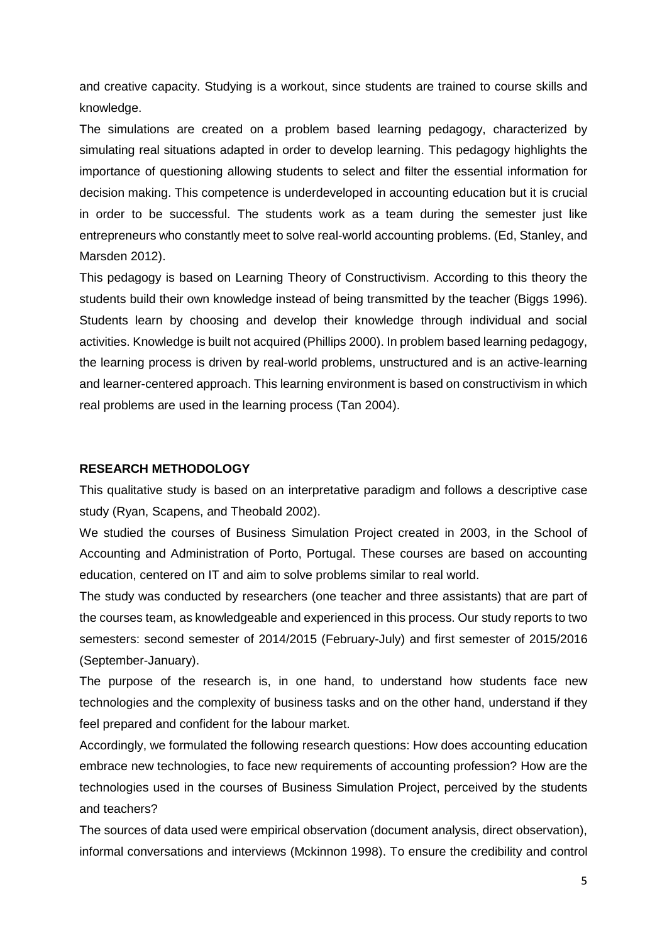and creative capacity. Studying is a workout, since students are trained to course skills and knowledge.

The simulations are created on a problem based learning pedagogy, characterized by simulating real situations adapted in order to develop learning. This pedagogy highlights the importance of questioning allowing students to select and filter the essential information for decision making. This competence is underdeveloped in accounting education but it is crucial in order to be successful. The students work as a team during the semester just like entrepreneurs who constantly meet to solve real-world accounting problems. (Ed, Stanley, and Marsden 2012).

This pedagogy is based on Learning Theory of Constructivism. According to this theory the students build their own knowledge instead of being transmitted by the teacher (Biggs 1996). Students learn by choosing and develop their knowledge through individual and social activities. Knowledge is built not acquired (Phillips 2000). In problem based learning pedagogy, the learning process is driven by real-world problems, unstructured and is an active-learning and learner-centered approach. This learning environment is based on constructivism in which real problems are used in the learning process (Tan 2004).

### **RESEARCH METHODOLOGY**

This qualitative study is based on an interpretative paradigm and follows a descriptive case study (Ryan, Scapens, and Theobald 2002).

We studied the courses of Business Simulation Project created in 2003, in the School of Accounting and Administration of Porto, Portugal. These courses are based on accounting education, centered on IT and aim to solve problems similar to real world.

The study was conducted by researchers (one teacher and three assistants) that are part of the courses team, as knowledgeable and experienced in this process. Our study reports to two semesters: second semester of 2014/2015 (February-July) and first semester of 2015/2016 (September-January).

The purpose of the research is, in one hand, to understand how students face new technologies and the complexity of business tasks and on the other hand, understand if they feel prepared and confident for the labour market.

Accordingly, we formulated the following research questions: How does accounting education embrace new technologies, to face new requirements of accounting profession? How are the technologies used in the courses of Business Simulation Project, perceived by the students and teachers?

The sources of data used were empirical observation (document analysis, direct observation), informal conversations and interviews (Mckinnon 1998). To ensure the credibility and control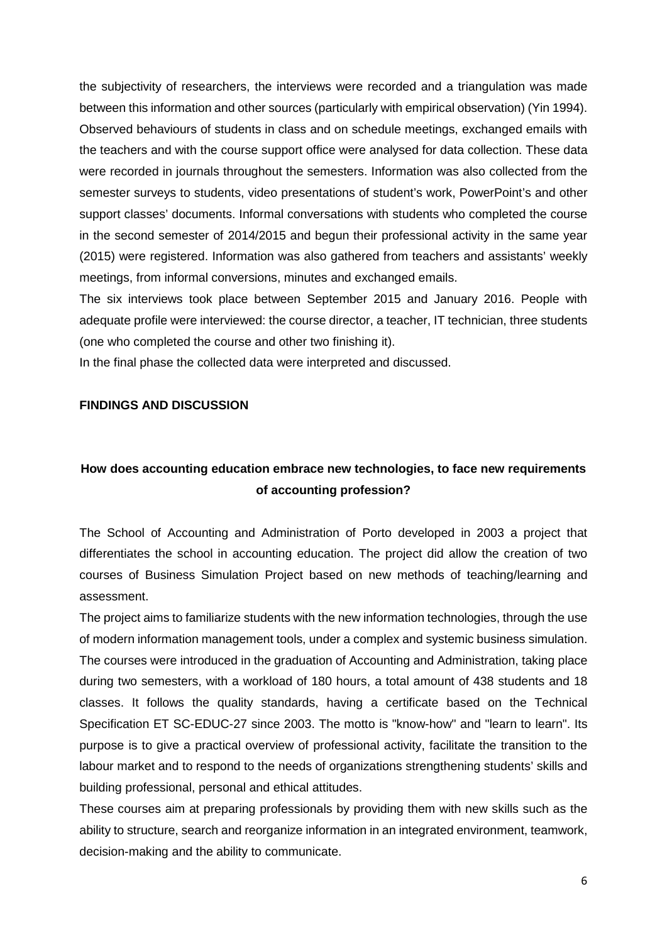the subjectivity of researchers, the interviews were recorded and a triangulation was made between this information and other sources (particularly with empirical observation) (Yin 1994). Observed behaviours of students in class and on schedule meetings, exchanged emails with the teachers and with the course support office were analysed for data collection. These data were recorded in journals throughout the semesters. Information was also collected from the semester surveys to students, video presentations of student's work, PowerPoint's and other support classes' documents. Informal conversations with students who completed the course in the second semester of 2014/2015 and begun their professional activity in the same year (2015) were registered. Information was also gathered from teachers and assistants' weekly meetings, from informal conversions, minutes and exchanged emails.

The six interviews took place between September 2015 and January 2016. People with adequate profile were interviewed: the course director, a teacher, IT technician, three students (one who completed the course and other two finishing it).

In the final phase the collected data were interpreted and discussed.

### **FINDINGS AND DISCUSSION**

# **How does accounting education embrace new technologies, to face new requirements of accounting profession?**

The School of Accounting and Administration of Porto developed in 2003 a project that differentiates the school in accounting education. The project did allow the creation of two courses of Business Simulation Project based on new methods of teaching/learning and assessment.

The project aims to familiarize students with the new information technologies, through the use of modern information management tools, under a complex and systemic business simulation. The courses were introduced in the graduation of Accounting and Administration, taking place during two semesters, with a workload of 180 hours, a total amount of 438 students and 18 classes. It follows the quality standards, having a certificate based on the Technical Specification ET SC-EDUC-27 since 2003. The motto is "know-how" and "learn to learn". Its purpose is to give a practical overview of professional activity, facilitate the transition to the labour market and to respond to the needs of organizations strengthening students' skills and building professional, personal and ethical attitudes.

These courses aim at preparing professionals by providing them with new skills such as the ability to structure, search and reorganize information in an integrated environment, teamwork, decision-making and the ability to communicate.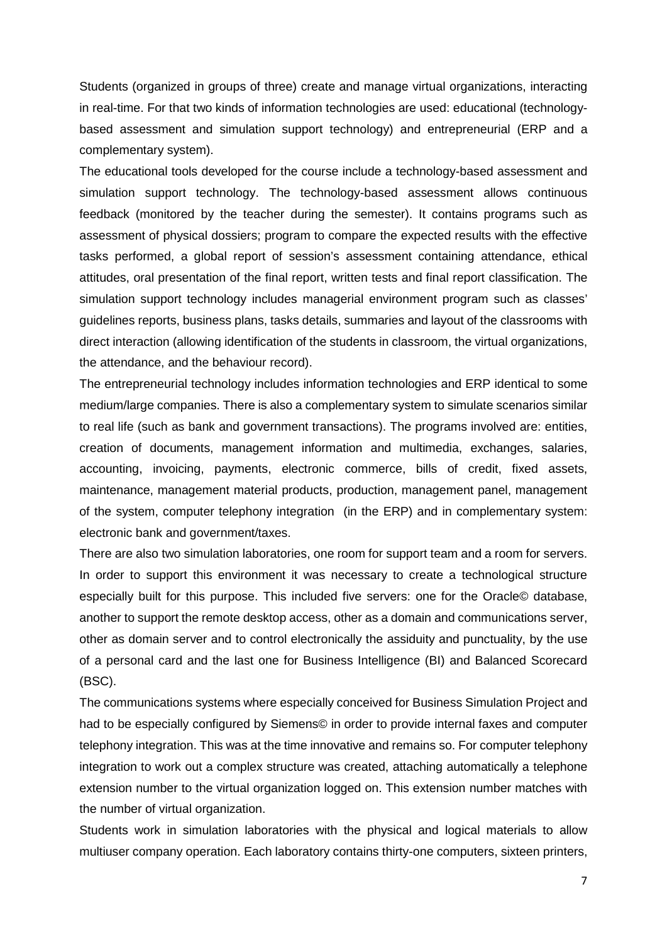Students (organized in groups of three) create and manage virtual organizations, interacting in real-time. For that two kinds of information technologies are used: educational (technologybased assessment and simulation support technology) and entrepreneurial (ERP and a complementary system).

The educational tools developed for the course include a technology-based assessment and simulation support technology. The technology-based assessment allows continuous feedback (monitored by the teacher during the semester). It contains programs such as assessment of physical dossiers; program to compare the expected results with the effective tasks performed, a global report of session's assessment containing attendance, ethical attitudes, oral presentation of the final report, written tests and final report classification. The simulation support technology includes managerial environment program such as classes' guidelines reports, business plans, tasks details, summaries and layout of the classrooms with direct interaction (allowing identification of the students in classroom, the virtual organizations, the attendance, and the behaviour record).

The entrepreneurial technology includes information technologies and ERP identical to some medium/large companies. There is also a complementary system to simulate scenarios similar to real life (such as bank and government transactions). The programs involved are: entities, creation of documents, management information and multimedia, exchanges, salaries, accounting, invoicing, payments, electronic commerce, bills of credit, fixed assets, maintenance, management material products, production, management panel, management of the system, computer telephony integration (in the ERP) and in complementary system: electronic bank and government/taxes.

There are also two simulation laboratories, one room for support team and a room for servers. In order to support this environment it was necessary to create a technological structure especially built for this purpose. This included five servers: one for the Oracle© database, another to support the remote desktop access, other as a domain and communications server, other as domain server and to control electronically the assiduity and punctuality, by the use of a personal card and the last one for Business Intelligence (BI) and Balanced Scorecard (BSC).

The communications systems where especially conceived for Business Simulation Project and had to be especially configured by Siemens© in order to provide internal faxes and computer telephony integration. This was at the time innovative and remains so. For computer telephony integration to work out a complex structure was created, attaching automatically a telephone extension number to the virtual organization logged on. This extension number matches with the number of virtual organization.

Students work in simulation laboratories with the physical and logical materials to allow multiuser company operation. Each laboratory contains thirty-one computers, sixteen printers,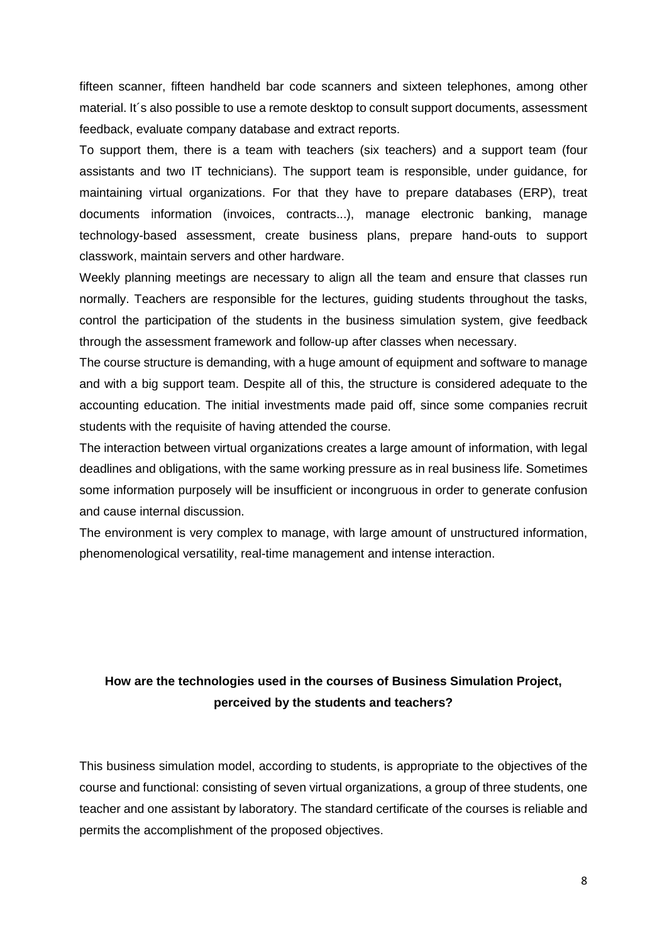fifteen scanner, fifteen handheld bar code scanners and sixteen telephones, among other material. It's also possible to use a remote desktop to consult support documents, assessment feedback, evaluate company database and extract reports.

To support them, there is a team with teachers (six teachers) and a support team (four assistants and two IT technicians). The support team is responsible, under guidance, for maintaining virtual organizations. For that they have to prepare databases (ERP), treat documents information (invoices, contracts...), manage electronic banking, manage technology-based assessment, create business plans, prepare hand-outs to support classwork, maintain servers and other hardware.

Weekly planning meetings are necessary to align all the team and ensure that classes run normally. Teachers are responsible for the lectures, guiding students throughout the tasks, control the participation of the students in the business simulation system, give feedback through the assessment framework and follow-up after classes when necessary.

The course structure is demanding, with a huge amount of equipment and software to manage and with a big support team. Despite all of this, the structure is considered adequate to the accounting education. The initial investments made paid off, since some companies recruit students with the requisite of having attended the course.

The interaction between virtual organizations creates a large amount of information, with legal deadlines and obligations, with the same working pressure as in real business life. Sometimes some information purposely will be insufficient or incongruous in order to generate confusion and cause internal discussion.

The environment is very complex to manage, with large amount of unstructured information, phenomenological versatility, real-time management and intense interaction.

# **How are the technologies used in the courses of Business Simulation Project, perceived by the students and teachers?**

This business simulation model, according to students, is appropriate to the objectives of the course and functional: consisting of seven virtual organizations, a group of three students, one teacher and one assistant by laboratory. The standard certificate of the courses is reliable and permits the accomplishment of the proposed objectives.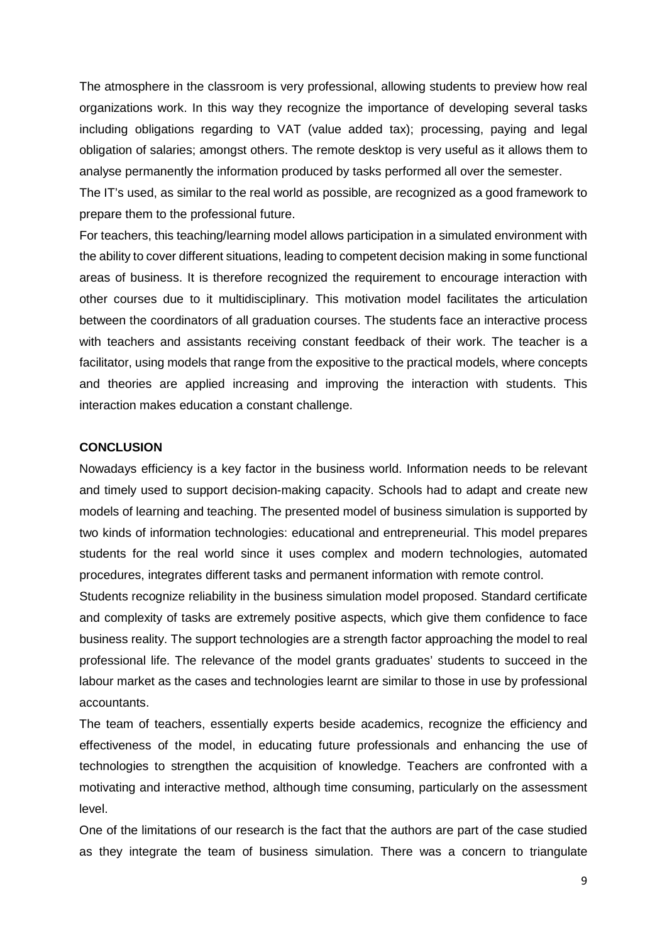The atmosphere in the classroom is very professional, allowing students to preview how real organizations work. In this way they recognize the importance of developing several tasks including obligations regarding to VAT (value added tax); processing, paying and legal obligation of salaries; amongst others. The remote desktop is very useful as it allows them to analyse permanently the information produced by tasks performed all over the semester.

The IT's used, as similar to the real world as possible, are recognized as a good framework to prepare them to the professional future.

For teachers, this teaching/learning model allows participation in a simulated environment with the ability to cover different situations, leading to competent decision making in some functional areas of business. It is therefore recognized the requirement to encourage interaction with other courses due to it multidisciplinary. This motivation model facilitates the articulation between the coordinators of all graduation courses. The students face an interactive process with teachers and assistants receiving constant feedback of their work. The teacher is a facilitator, using models that range from the expositive to the practical models, where concepts and theories are applied increasing and improving the interaction with students. This interaction makes education a constant challenge.

### **CONCLUSION**

Nowadays efficiency is a key factor in the business world. Information needs to be relevant and timely used to support decision-making capacity. Schools had to adapt and create new models of learning and teaching. The presented model of business simulation is supported by two kinds of information technologies: educational and entrepreneurial. This model prepares students for the real world since it uses complex and modern technologies, automated procedures, integrates different tasks and permanent information with remote control.

Students recognize reliability in the business simulation model proposed. Standard certificate and complexity of tasks are extremely positive aspects, which give them confidence to face business reality. The support technologies are a strength factor approaching the model to real professional life. The relevance of the model grants graduates' students to succeed in the labour market as the cases and technologies learnt are similar to those in use by professional accountants.

The team of teachers, essentially experts beside academics, recognize the efficiency and effectiveness of the model, in educating future professionals and enhancing the use of technologies to strengthen the acquisition of knowledge. Teachers are confronted with a motivating and interactive method, although time consuming, particularly on the assessment level.

One of the limitations of our research is the fact that the authors are part of the case studied as they integrate the team of business simulation. There was a concern to triangulate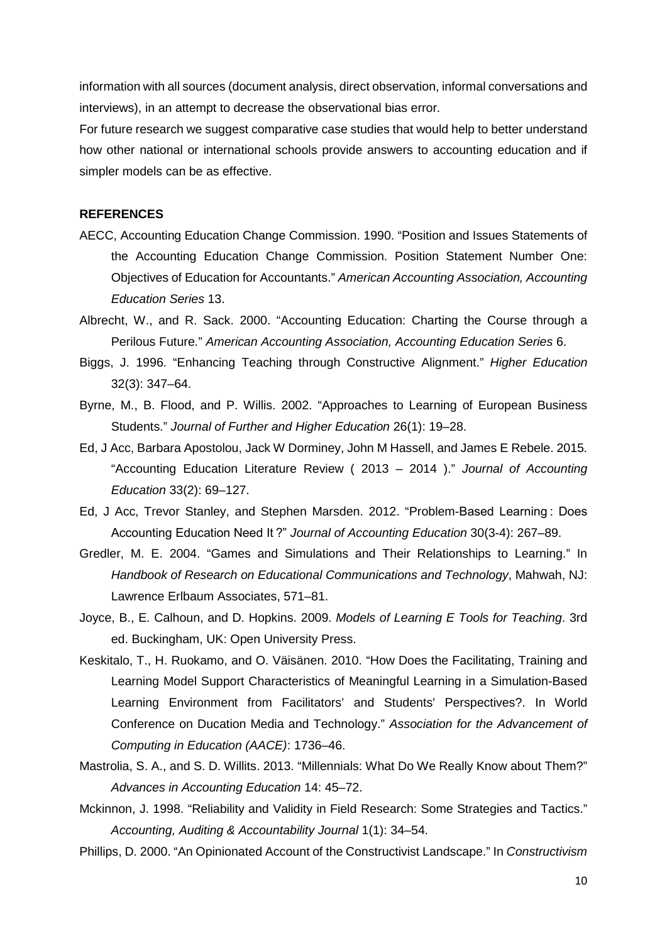information with all sources (document analysis, direct observation, informal conversations and interviews), in an attempt to decrease the observational bias error.

For future research we suggest comparative case studies that would help to better understand how other national or international schools provide answers to accounting education and if simpler models can be as effective.

#### **REFERENCES**

- AECC, Accounting Education Change Commission. 1990. "Position and Issues Statements of the Accounting Education Change Commission. Position Statement Number One: Objectives of Education for Accountants." *American Accounting Association, Accounting Education Series* 13.
- Albrecht, W., and R. Sack. 2000. "Accounting Education: Charting the Course through a Perilous Future." *American Accounting Association, Accounting Education Series* 6.
- Biggs, J. 1996. "Enhancing Teaching through Constructive Alignment." *Higher Education* 32(3): 347–64.
- Byrne, M., B. Flood, and P. Willis. 2002. "Approaches to Learning of European Business Students." *Journal of Further and Higher Education* 26(1): 19–28.
- Ed, J Acc, Barbara Apostolou, Jack W Dorminey, John M Hassell, and James E Rebele. 2015. "Accounting Education Literature Review ( 2013 – 2014 )." *Journal of Accounting Education* 33(2): 69–127.
- Ed, J Acc, Trevor Stanley, and Stephen Marsden. 2012. "Problem-Based Learning : Does Accounting Education Need It ?" *Journal of Accounting Education* 30(3-4): 267–89.
- Gredler, M. E. 2004. "Games and Simulations and Their Relationships to Learning." In *Handbook of Research on Educational Communications and Technology*, Mahwah, NJ: Lawrence Erlbaum Associates, 571–81.
- Joyce, B., E. Calhoun, and D. Hopkins. 2009. *Models of Learning E Tools for Teaching*. 3rd ed. Buckingham, UK: Open University Press.
- Keskitalo, T., H. Ruokamo, and O. Väisänen. 2010. "How Does the Facilitating, Training and Learning Model Support Characteristics of Meaningful Learning in a Simulation-Based Learning Environment from Facilitators' and Students' Perspectives?. In World Conference on Ducation Media and Technology." *Association for the Advancement of Computing in Education (AACE)*: 1736–46.
- Mastrolia, S. A., and S. D. Willits. 2013. "Millennials: What Do We Really Know about Them?" *Advances in Accounting Education* 14: 45–72.
- Mckinnon, J. 1998. "Reliability and Validity in Field Research: Some Strategies and Tactics." *Accounting, Auditing & Accountability Journal* 1(1): 34–54.
- Phillips, D. 2000. "An Opinionated Account of the Constructivist Landscape." In *Constructivism*